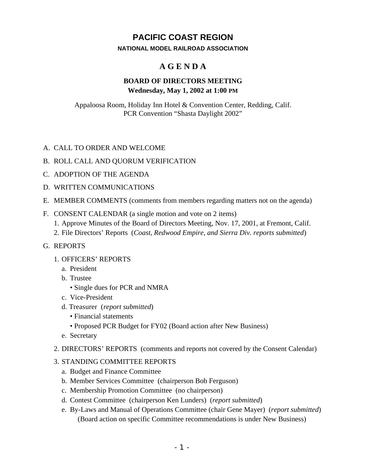# **PACIFIC COAST REGION**

#### **NATIONAL MODEL RAILROAD ASSOCIATION**

## **A G E N D A**

## **BOARD OF DIRECTORS MEETING Wednesday, May 1, 2002 at 1:00 PM**

Appaloosa Room, Holiday Inn Hotel & Convention Center, Redding, Calif. PCR Convention "Shasta Daylight 2002"

### A. CALL TO ORDER AND WELCOME

- B. ROLL CALL AND QUORUM VERIFICATION
- C. ADOPTION OF THE AGENDA
- D. WRITTEN COMMUNICATIONS
- E. MEMBER COMMENTS (comments from members regarding matters not on the agenda)
- F. CONSENT CALENDAR (a single motion and vote on 2 items)
	- 1. Approve Minutes of the Board of Directors Meeting, Nov. 17, 2001, at Fremont, Calif.
	- 2. File Directors' Reports (*Coast, Redwood Empire, and Sierra Div. reports submitted*)
- G. REPORTS
	- 1. OFFICERS' REPORTS
		- a. President
		- b. Trustee
			- Single dues for PCR and NMRA
		- c. Vice-President
		- d. Treasurer (*report submitted*)
			- Financial statements
			- Proposed PCR Budget for FY02 (Board action after New Business)
		- e. Secretary
	- 2. DIRECTORS' REPORTS (comments and reports not covered by the Consent Calendar)

#### 3. STANDING COMMITTEE REPORTS

- a. Budget and Finance Committee
- b. Member Services Committee (chairperson Bob Ferguson)
- c. Membership Promotion Committee (no chairperson)
- d. Contest Committee (chairperson Ken Lunders) (*report submitted*)
- e. By-Laws and Manual of Operations Committee (chair Gene Mayer) (*report submitted*) (Board action on specific Committee recommendations is under New Business)